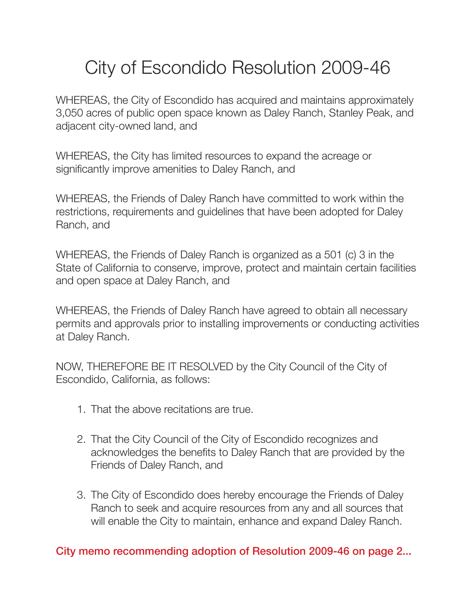# City of Escondido Resolution 2009-46

WHEREAS, the City of Escondido has acquired and maintains approximately 3,050 acres of public open space known as Daley Ranch, Stanley Peak, and adjacent city-owned land, and

WHEREAS, the City has limited resources to expand the acreage or significantly improve amenities to Daley Ranch, and

WHEREAS, the Friends of Daley Ranch have committed to work within the restrictions, requirements and guidelines that have been adopted for Daley Ranch, and

WHEREAS, the Friends of Daley Ranch is organized as a 501 (c) 3 in the State of California to conserve, improve, protect and maintain certain facilities and open space at Daley Ranch, and

WHEREAS, the Friends of Daley Ranch have agreed to obtain all necessary permits and approvals prior to installing improvements or conducting activities at Daley Ranch.

NOW, THEREFORE BE IT RESOLVED by the City Council of the City of Escondido, California, as follows:

- 1. That the above recitations are true.
- 2. That the City Council of the City of Escondido recognizes and acknowledges the benefits to Daley Ranch that are provided by the Friends of Daley Ranch, and
- 3. The City of Escondido does hereby encourage the Friends of Daley Ranch to seek and acquire resources from any and all sources that will enable the City to maintain, enhance and expand Daley Ranch.

City memo recommending adoption of Resolution 2009-46 on page 2...